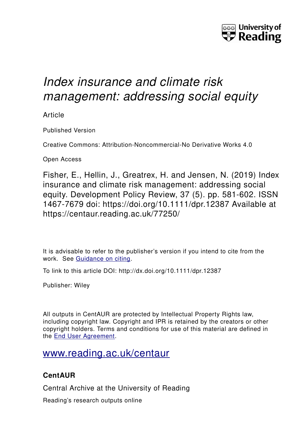

# *Index insurance and climate risk management: addressing social equity*

Article

Published Version

Creative Commons: Attribution-Noncommercial-No Derivative Works 4.0

Open Access

Fisher, E., Hellin, J., Greatrex, H. and Jensen, N. (2019) Index insurance and climate risk management: addressing social equity. Development Policy Review, 37 (5). pp. 581-602. ISSN 1467-7679 doi: https://doi.org/10.1111/dpr.12387 Available at https://centaur.reading.ac.uk/77250/

It is advisable to refer to the publisher's version if you intend to cite from the work. See [Guidance on citing.](http://centaur.reading.ac.uk/71187/10/CentAUR%20citing%20guide.pdf)

To link to this article DOI: http://dx.doi.org/10.1111/dpr.12387

Publisher: Wiley

All outputs in CentAUR are protected by Intellectual Property Rights law, including copyright law. Copyright and IPR is retained by the creators or other copyright holders. Terms and conditions for use of this material are defined in the [End User Agreement.](http://centaur.reading.ac.uk/licence)

### [www.reading.ac.uk/centaur](http://www.reading.ac.uk/centaur)

### **CentAUR**

Central Archive at the University of Reading

Reading's research outputs online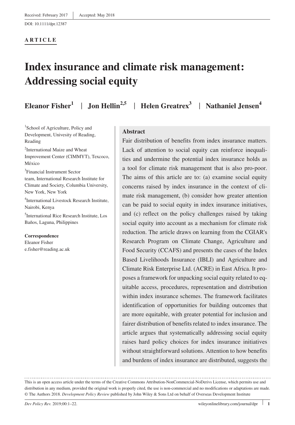DOI: 10.1111/dpr.12387

#### **ARTICLE**

## **Index insurance and climate risk management: Addressing social equity**

**Eleanor Fisher1** | **Jon Hellin2,5** | **Helen Greatrex<sup>3</sup>** | **Nathaniel Jensen4**

<sup>1</sup>School of Agriculture, Policy and Development, Univesity of Reading, Reading

2 International Maize and Wheat Improvement Center (CIMMYT), Texcoco, México

3 Financial Instrument Sector team, International Research Institute for Climate and Society, Columbia University, New York, New York

4 International Livestock Research Institute, Nairobi, Kenya

5 International Rice Research Institute, Los Baños, Laguna, Philippines

#### **Correspondence**

Eleanor Fisher [e.fisher@reading.ac.uk](mailto:e.fisher@reading.ac.uk)

#### **Abstract**

Fair distribution of benefits from index insurance matters. Lack of attention to social equity can reinforce inequalities and undermine the potential index insurance holds as a tool for climate risk management that is also pro‐poor. The aims of this article are to: (a) examine social equity concerns raised by index insurance in the context of climate risk management, (b) consider how greater attention can be paid to social equity in index insurance initiatives, and (c) reflect on the policy challenges raised by taking social equity into account as a mechanism for climate risk reduction. The article draws on learning from the CGIAR's Research Program on Climate Change, Agriculture and Food Security (CCAFS) and presents the cases of the Index Based Livelihoods Insurance (IBLI) and Agriculture and Climate Risk Enterprise Ltd. (ACRE) in East Africa. It proposes a framework for unpacking social equity related to equitable access, procedures, representation and distribution within index insurance schemes. The framework facilitates identification of opportunities for building outcomes that are more equitable, with greater potential for inclusion and fairer distribution of benefits related to index insurance. The article argues that systematically addressing social equity raises hard policy choices for index insurance initiatives without straightforward solutions. Attention to how benefits and burdens of index insurance are distributed, suggests the

This is an open access article under the terms of the [Creative Commons Attribution-NonCommercial-NoDerivs](http://creativecommons.org/licenses/by-nc-nd/4.0/) License, which permits use and distribution in any medium, provided the original work is properly cited, the use is non-commercial and no modifications or adaptations are made. © The Authors 2018. *Development Policy Review* published by John Wiley & Sons Ltd on behalf of Overseas Development Institute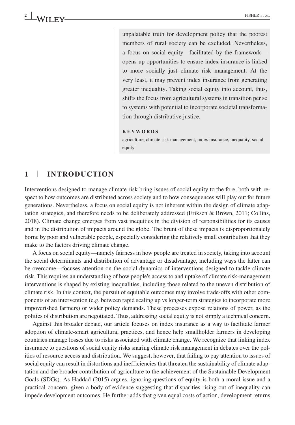unpalatable truth for development policy that the poorest members of rural society can be excluded. Nevertheless, a focus on social equity—facilitated by the framework opens up opportunities to ensure index insurance is linked to more socially just climate risk management. At the very least, it may prevent index insurance from generating greater inequality. Taking social equity into account, thus, shifts the focus from agricultural systems in transition per se to systems with potential to incorporate societal transformation through distributive justice.

#### **KEYWORDS**

agriculture, climate risk management, index insurance, inequality, social equity

#### **1** | **INTRODUCTION**

Interventions designed to manage climate risk bring issues of social equity to the fore, both with respect to how outcomes are distributed across society and to how consequences will play out for future generations. Nevertheless, a focus on social equity is not inherent within the design of climate adaptation strategies, and therefore needs to be deliberately addressed (Eriksen & Brown, 2011; Collins, 2018). Climate change emerges from vast inequities in the division of responsibilities for its causes and in the distribution of impacts around the globe. The brunt of these impacts is disproportionately borne by poor and vulnerable people, especially considering the relatively small contribution that they make to the factors driving climate change.

A focus on social equity—namely fairness in how people are treated in society, taking into account the social determinants and distribution of advantage or disadvantage, including ways the latter can be overcome—focuses attention on the social dynamics of interventions designed to tackle climate risk. This requires an understanding of how people's access to and uptake of climate risk‐management interventions is shaped by existing inequalities, including those related to the uneven distribution of climate risk. In this context, the pursuit of equitable outcomes may involve trade‐offs with other components of an intervention (e.g. between rapid scaling up vs longer‐term strategies to incorporate more impoverished farmers) or wider policy demands. These processes expose relations of power, as the politics of distribution are negotiated. Thus, addressing social equity is not simply a technical concern.

Against this broader debate, our article focuses on index insurance as a way to facilitate farmer adoption of climate‐smart agricultural practices, and hence help smallholder farmers in developing countries manage losses due to risks associated with climate change. We recognize that linking index insurance to questions of social equity risks snaring climate risk management in debates over the politics of resource access and distribution. We suggest, however, that failing to pay attention to issues of social equity can result in distortions and inefficiencies that threaten the sustainability of climate adaptation and the broader contribution of agriculture to the achievement of the Sustainable Development Goals (SDGs). As Haddad (2015) argues, ignoring questions of equity is both a moral issue and a practical concern, given a body of evidence suggesting that disparities rising out of inequality can impede development outcomes. He further adds that given equal costs of action, development returns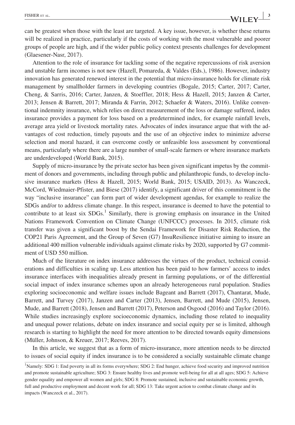can be greatest when those with the least are targeted. A key issue, however, is whether these returns

will be realized in practice, particularly if the costs of working with the most vulnerable and poorer groups of people are high, and if the wider public policy context presents challenges for development (Glaesener‐Nasr, 2017).

Attention to the role of insurance for tackling some of the negative repercussions of risk aversion and unstable farm incomes is not new (Hazell, Pomareda, & Valdes (Eds.), 1986). However, industry innovation has generated renewed interest in the potential that micro-insurance holds for climate risk management by smallholder farmers in developing countries (Bogale, 2015; Carter, 2017; Carter, Cheng, & Sarris, 2016; Carter, Janzen, & Stoeffler, 2018; Hess & Hazell, 2015; Janzen & Carter, 2013; Jensen & Barrett, 2017; Miranda & Farrin, 2012; Schaefer & Waters, 2016). Unlike conventional indemnity insurance, which relies on direct measurement of the loss or damage suffered, index insurance provides a payment for loss based on a predetermined index, for example rainfall levels, average area yield or livestock mortality rates. Advocates of index insurance argue that with the advantages of cost reduction, timely payouts and the use of an objective index to minimize adverse selection and moral hazard, it can overcome costly or unfeasible loss assessment by conventional means, particularly where there are a large number of small-scale farmers or where insurance markets are underdeveloped (World Bank, 2015).

Supply of micro‐insurance by the private sector has been given significant impetus by the commitment of donors and governments, including through public and philanthropic funds, to develop inclusive insurance markets (Hess & Hazell, 2015; World Bank, 2015; USAID, 2013). As Wanczeck, McCord, Wiedmaier‐Pfister, and Biese (2017) identify, a significant driver of this commitment is the way "inclusive insurance" can form part of wider development agendas, for example to realize the SDGs and/or to address climate change. In this respect, insurance is deemed to have the potential to contribute to at least six SDGs.<sup>1</sup> Similarly, there is growing emphasis on insurance in the United Nations Framework Convention on Climate Change (UNFCCC) processes. In 2015, climate risk transfer was given a significant boost by the Sendai Framework for Disaster Risk Reduction, the COP21 Paris Agreement, and the Group of Seven (G7) InsuResilience initiative aiming to insure an additional 400 million vulnerable individuals against climate risks by 2020, supported by G7 commitment of USD 550 million.

Much of the literature on index insurance addresses the virtues of the product, technical considerations and difficulties in scaling up. Less attention has been paid to how farmers' access to index insurance interfaces with inequalities already present in farming populations, or of the differential social impact of index insurance schemes upon an already heterogeneous rural population. Studies exploring socioeconomic and welfare issues include Bageant and Barrett (2017), Chantarat, Mude, Barrett, and Turvey (2017), Janzen and Carter (2013), Jensen, Barrett, and Mude (2015), Jensen, Mude, and Barrett (2018), Jensen and Barrett (2017), Peterson and Osgood (2016) and Taylor (2016). While studies increasingly explore socioeconomic dynamics, including those related to inequality and unequal power relations, debate on index insurance and social equity per se is limited, although research is starting to highlight the need for more attention to be directed towards equity dimensions (Müller, Johnson, & Kreuer, 2017; Reeves, 2017).

In this article, we suggest that as a form of micro‐insurance, more attention needs to be directed to issues of social equity if index insurance is to be considered a socially sustainable climate change

<sup>&</sup>lt;sup>1</sup>Namely: SDG 1: End poverty in all its forms everywhere; SDG 2: End hunger, achieve food security and improved nutrition and promote sustainable agriculture; SDG 3: Ensure healthy lives and promote well-being for all at all ages; SDG 5: Achieve gender equality and empower all women and girls; SDG 8: Promote sustained, inclusive and sustainable economic growth, full and productive employment and decent work for all; SDG 13: Take urgent action to combat climate change and its impacts (Wanczeck et al., 2017).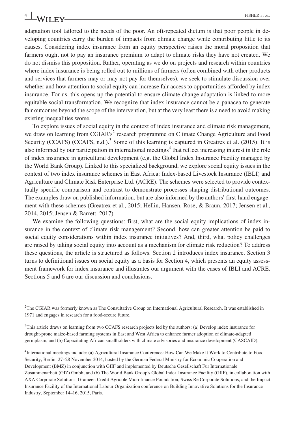adaptation tool tailored to the needs of the poor. An oft-repeated dictum is that poor people in developing countries carry the burden of impacts from climate change while contributing little to its causes. Considering index insurance from an equity perspective raises the moral proposition that farmers ought not to pay an insurance premium to adapt to climate risks they have not created. We do not dismiss this proposition. Rather, operating as we do on projects and research within countries where index insurance is being rolled out to millions of farmers (often combined with other products and services that farmers may or may not pay for themselves), we seek to stimulate discussion over whether and how attention to social equity can increase fair access to opportunities afforded by index insurance. For us, this opens up the potential to ensure climate change adaptation is linked to more equitable social transformation. We recognize that index insurance cannot be a panacea to generate fair outcomes beyond the scope of the intervention, but at the very least there is a need to avoid making existing inequalities worse.

To explore issues of social equity in the context of index insurance and climate risk management, we draw on learning from CGIAR's<sup>2</sup> research programme on Climate Change Agriculture and Food Security (CCAFS) (CCAFS, n.d.).<sup>3</sup> Some of this learning is captured in Greatrex et al. (2015). It is also informed by our participation in international meetings<sup>4</sup> that reflect increasing interest in the role of index insurance in agricultural development (e.g. the Global Index Insurance Facility managed by the World Bank Group). Linked to this specialized background, we explore social equity issues in the context of two index insurance schemes in East Africa: Index‐based Livestock Insurance (IBLI) and Agriculture and Climate Risk Enterprise Ltd. (ACRE). The schemes were selected to provide contextually specific comparison and contrast to demonstrate processes shaping distributional outcomes. The examples draw on published information, but are also informed by the authors' first-hand engagement with these schemes (Greatrex et al., 2015; Hellin, Hansen, Rose, & Braun, 2017; Jensen et al., 2014, 2015; Jensen & Barrett, 2017).

We examine the following questions: first, what are the social equity implications of index insurance in the context of climate risk management? Second, how can greater attention be paid to social equity considerations within index insurance initiatives? And, third, what policy challenges are raised by taking social equity into account as a mechanism for climate risk reduction? To address these questions, the article is structured as follows. Section 2 introduces index insurance. Section 3 turns to definitional issues on social equity as a basis for Section 4, which presents an equity assessment framework for index insurance and illustrates our argument with the cases of IBLI and ACRE. Sections 5 and 6 are our discussion and conclusions.

2 The CGIAR was formerly known as The Consultative Group on International Agricultural Research. It was established in 1971 and engages in research for a food‐secure future.

<sup>3</sup>This article draws on learning from two CCAFS research projects led by the authors: (a) Develop index insurance for drought‐prone maize‐based farming systems in East and West Africa to enhance farmer adoption of climate‐adapted germplasm, and (b) Capacitating African smallholders with climate advisories and insurance development (CASCAID).

4 International meetings include: (a) Agricultural Insurance Conference: How Can We Make It Work to Contribute to Food Security, Berlin, 27–28 November 2014, hosted by the German Federal Ministry for Economic Cooperation and Development (BMZ) in conjunction with GIIF and implemented by Deutsche Gesellschaft Für Internationale Zusammenarbeit (GIZ) Gmbh; and (b) The World Bank Group's Global Index Insurance Facility (GIIF), in collaboration with AXA Corporate Solutions, Grameen Credit Agricole Microfinance Foundation, Swiss Re Corporate Solutions, and the Impact Insurance Facility of the International Labour Organization conference on Building Innovative Solutions for the Insurance Industry, September 14–16, 2015, Paris.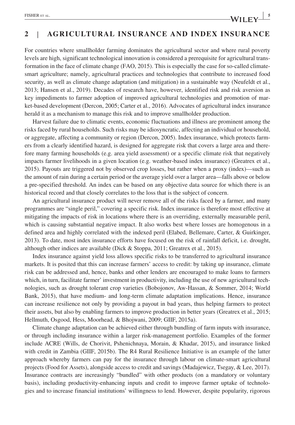### **2** | **AGRICULTURAL INSURANCE AND INDEX INSURANCE**

For countries where smallholder farming dominates the agricultural sector and where rural poverty levels are high, significant technological innovation is considered a prerequisite for agricultural transformation in the face of climate change (FAO, 2015). This is especially the case for so-called climate– smart agriculture; namely, agricultural practices and technologies that contribute to increased food security, as well as climate change adaptation (and mitigation) in a sustainable way (Neufeldt et al., 2013; Hansen et al., 2019). Decades of research have, however, identified risk and risk aversion as key impediments to farmer adoption of improved agricultural technologies and promotion of market-based development (Dercon, 2005; Carter et al., 2016). Advocates of agricultural index insurance herald it as a mechanism to manage this risk and to improve smallholder production.

Harvest failure due to climatic events, economic fluctuations and illness are prominent among the risks faced by rural households. Such risks may be idiosyncratic, affecting an individual or household, or aggregate, affecting a community or region (Dercon, 2005). Index insurance, which protects farmers from a clearly identified hazard, is designed for aggregate risk that covers a large area and therefore many farming households (e.g. area yield assessment) or a specific climate risk that negatively impacts farmer livelihoods in a given location (e.g. weather‐based index insurance) (Greatrex et al., 2015). Payouts are triggered not by observed crop losses, but rather when a proxy (index)—such as the amount of rain during a certain period or the average yield over a larger area—falls above or below a pre‐specified threshold. An index can be based on any objective data source for which there is an historical record and that closely correlates to the loss that is the subject of concern.

An agricultural insurance product will never remove all of the risks faced by a farmer, and many programmes are "single peril," covering a specific risk. Index insurance is therefore most effective at mitigating the impacts of risk in locations where there is an overriding, externally measurable peril, which is causing substantial negative impact. It also works best where losses are homogenous in a defined area and highly correlated with the indexed peril (Elabed, Bellemare, Carter, & Guirkinger, 2013). To date, most index insurance efforts have focused on the risk of rainfall deficit, i.e. drought, although other indices are available (Dick & Stoppa, 2011; Greatrex et al., 2015).

Index insurance against yield loss allows specific risks to be transferred to agricultural insurance markets. It is posited that this can increase farmers' access to credit: by taking up insurance, climate risk can be addressed and, hence, banks and other lenders are encouraged to make loans to farmers which, in turn, facilitate farmer' investment in productivity, including the use of new agricultural technologies, such as drought tolerant crop varieties (Bobojonov, Aw‐Hassan, & Sommer, 2014; World Bank, 2015), that have medium‐ and long‐term climate adaptation implications. Hence, insurance can increase resilience not only by providing a payout in bad years, thus helping farmers to protect their assets, but also by enabling farmers to improve production in better years (Greatrex et al., 2015; Hellmuth, Osgood, Hess, Moorhead, & Bhojwani, 2009; GIIF, 2015a).

Climate change adaptation can be achieved either through bundling of farm inputs with insurance, or through including insurance within a larger risk‐management portfolio. Examples of the former include ACRE (Wills, de Chorivit, Pshenichnaya, Morain, & Khadar, 2015), and insurance linked with credit in Zambia (GIIF, 2015b). The R4 Rural Resilience Initiative is an example of the latter approach whereby farmers can pay for the insurance through labour on climate‐smart agricultural projects (Food for Assets), alongside access to credit and savings (Madajewicz, Tsegay, & Lee, 2017). Insurance contracts are increasingly "bundled" with other products (on a mandatory or voluntary basis), including productivity‐enhancing inputs and credit to improve farmer uptake of technologies and to increase financial institutions' willingness to lend. However, despite popularity, rigorous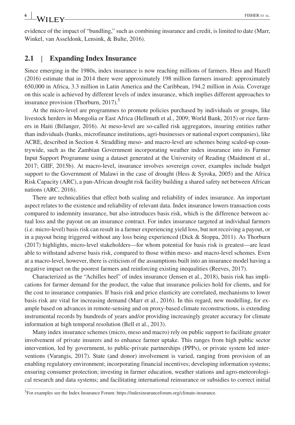**<sup>6</sup> <sup>|</sup>** FISHER et al.

evidence of the impact of "bundling," such as combining insurance and credit, is limited to date (Marr, Winkel, van Asseldonk, Lensink, & Bulte, 2016).

#### **2.1** | **Expanding Index Insurance**

Since emerging in the 1980s, index insurance is now reaching millions of farmers. Hess and Hazell (2016) estimate that in 2014 there were approximately 198 million farmers insured: approximately 650,000 in Africa, 3.3 million in Latin America and the Caribbean, 194.2 million in Asia. Coverage on this scale is achieved by different levels of index insurance, which implies different approaches to insurance provision (Thorburn, 2017).<sup>5</sup>

At the micro-level are programmes to promote policies purchased by individuals or groups, like livestock herders in Mongolia or East Africa (Hellmuth et al., 2009; World Bank, 2015) or rice farmers in Haiti (Bélanger, 2016). At meso‐level are so‐called risk aggregators, insuring entities rather than individuals (banks, microfinance institutions, agri‐businesses or national export companies), like ACRE, described in Section 4. Straddling meso‐ and macro‐level are schemes being scaled‐up countrywide, such as the Zambian Government incorporating weather index insurance into its Farmer Input Support Programme using a dataset generated at the University of Reading (Maidment et al., 2017; GIIF, 2015b). At macro‐level, insurance involves sovereign cover, examples include budget support to the Government of Malawi in the case of drought (Hess & Syroka, 2005) and the Africa Risk Capacity (ARC), a pan‐African drought risk facility building a shared safety net between African nations (ARC, 2016).

There are technicalities that effect both scaling and reliability of index insurance. An important aspect relates to the existence and reliability of relevant data. Index insurance lowers transaction costs compared to indemnity insurance, but also introduces basis risk, which is the difference between actual loss and the payout on an insurance contract. For index insurance targeted at individual farmers (i.e. micro‐level) basis risk can result in a farmer experiencing yield loss, but not receiving a payout, or in a payout being triggered without any loss being experienced (Dick & Stoppa, 2011). As Thorburn (2017) highlights, micro-level stakeholders—for whom potential for basis risk is greatest—are least able to withstand adverse basis risk, compared to those within meso‐ and macro‐level schemes. Even at a macro‐level, however, there is criticism of the assumptions built into an insurance model having a negative impact on the poorest farmers and reinforcing existing inequalities (Reeves, 2017).

Characterized as the "Achilles heel" of index insurance (Jensen et al., 2018), basis risk has implications for farmer demand for the product, the value that insurance policies hold for clients, and for the cost to insurance companies. If basis risk and price elasticity are correlated, mechanisms to lower basis risk are vital for increasing demand (Marr et al., 2016). In this regard, new modelling, for example based on advances in remote‐sensing and on proxy‐based climate reconstructions, is extending instrumental records by hundreds of years and/or providing increasingly greater accuracy for climate information at high temporal resolution (Bell et al., 2013).

Many index insurance schemes (micro, meso and macro) rely on public support to facilitate greater involvement of private insurers and to enhance farmer uptake. This ranges from high public sector intervention, led by government, to public‐private partnerships (PPPs), or private system led interventions (Varangis, 2017). State (and donor) involvement is varied, ranging from provision of an enabling regulatory environment; incorporating financial incentives; developing information systems; ensuring consumer protection; investing in farmer education, weather stations and agro-meteorological research and data systems; and facilitating international reinsurance or subsidies to correct initial

<sup>&</sup>lt;sup>5</sup>For examples see the Index Insurance Forum: [https://indexinsuranceforum.org/climate-insurance.](https://indexinsuranceforum.org/climate-insurance)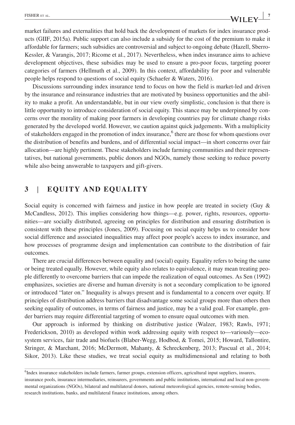market failures and externalities that hold back the development of markets for index insurance products (GIIF, 2015a). Public support can also include a subsidy for the cost of the premium to make it affordable for farmers; such subsidies are controversial and subject to ongoing debate (Hazell, Sberro‐ Kessler, & Varangis, 2017; Ricome et al., 2017). Nevertheless, when index insurance aims to achieve development objectives, these subsidies may be used to ensure a pro‐poor focus, targeting poorer categories of farmers (Hellmuth et al., 2009). In this context, affordability for poor and vulnerable people helps respond to questions of social equity (Schaefer & Waters, 2016).

Discussions surrounding index insurance tend to focus on how the field is market‐led and driven by the insurance and reinsurance industries that are motivated by business opportunities and the ability to make a profit. An understandable, but in our view overly simplistic, conclusion is that there is little opportunity to introduce consideration of social equity. This stance may be underpinned by concerns over the morality of making poor farmers in developing countries pay for climate change risks generated by the developed world. However, we caution against quick judgements. With a multiplicity of stakeholders engaged in the promotion of index insurance,<sup>6</sup> there are those for whom questions over the distribution of benefits and burdens, and of differential social impact—in short concerns over fair allocation—are highly pertinent. These stakeholders include farming communities and their representatives, but national governments, public donors and NGOs, namely those seeking to reduce poverty while also being answerable to taxpayers and gift‐givers.

#### **3** | **EQUITY AND EQUALITY**

Social equity is concerned with fairness and justice in how people are treated in society (Guy & McCandless, 2012). This implies considering how things—e.g. power, rights, resources, opportunities—are socially distributed, agreeing on principles for distribution and ensuring distribution is consistent with these principles (Jones, 2009). Focusing on social equity helps us to consider how social difference and associated inequalities may affect poor people's access to index insurance, and how processes of programme design and implementation can contribute to the distribution of fair outcomes.

There are crucial differences between equality and (social) equity. Equality refers to being the same or being treated equally. However, while equity also relates to equivalence, it may mean treating people differently to overcome barriers that can impede the realization of equal outcomes. As Sen (1992) emphasizes, societies are diverse and human diversity is not a secondary complication to be ignored or introduced "later on." Inequality is always present and is fundamental to a concern over equity. If principles of distribution address barriers that disadvantage some social groups more than others then seeking equality of outcomes, in terms of fairness and justice, may be a valid goal. For example, gender barriers may require differential targeting of women to ensure equal outcomes with men.

Our approach is informed by thinking on distributive justice (Walzer, 1983; Rawls, 1971; Frederickson, 2010) as developed within work addressing equity with respect to—variously—ecosystem services, fair trade and biofuels (Blaber-Wegg, Hodbod, & Tomei, 2015; Howard, Tallontire, Stringer, & Marchant, 2016; McDermott, Mahanty, & Schreckenberg, 2013; Pascual et al., 2014; Sikor, 2013). Like these studies, we treat social equity as multidimensional and relating to both

<sup>6</sup> Index insurance stakeholders include farmers, farmer groups, extension officers, agricultural input suppliers, insurers, insurance pools, insurance intermediaries, reinsurers, governments and public institutions, international and local non‐governmental organizations (NGOs), bilateral and multilateral donors, national meteorological agencies, remote-sensing bodies, research institutions, banks, and multilateral finance institutions, among others.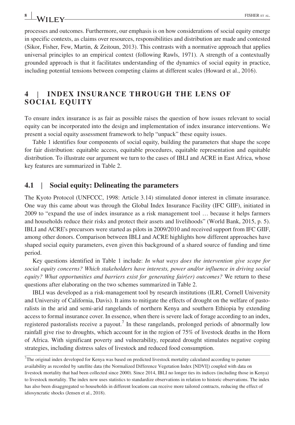processes and outcomes. Furthermore, our emphasis is on how considerations of social equity emerge in specific contexts, as claims over resources, responsibilities and distribution are made and contested (Sikor, Fisher, Few, Martin, & Zeitoun, 2013). This contrasts with a normative approach that applies universal principles to an empirical context (following Rawls, 1971). A strength of a contextually grounded approach is that it facilitates understanding of the dynamics of social equity in practice, including potential tensions between competing claims at different scales (Howard et al., 2016).

#### **4** | **INDEX INSURANCE THROUGH THE LENS OF SOCIAL EQUITY**

To ensure index insurance is as fair as possible raises the question of how issues relevant to social equity can be incorporated into the design and implementation of index insurance interventions. We present a social equity assessment framework to help "unpack" these equity issues.

Table 1 identifies four components of social equity, building the parameters that shape the scope for fair distribution: equitable access, equitable procedures, equitable representation and equitable distribution. To illustrate our argument we turn to the cases of IBLI and ACRE in East Africa, whose key features are summarized in Table 2.

#### **4.1** | **Social equity: Delineating the parameters**

The Kyoto Protocol (UNFCCC, 1998: Article 3.14) stimulated donor interest in climate insurance. One way this came about was through the Global Index Insurance Facility (IFC GIIF), initiated in 2009 to "expand the use of index insurance as a risk management tool … because it helps farmers and households reduce their risks and protect their assets and livelihoods" (World Bank, 2015, p. 5). IBLI and ACRE's precursors were started as pilots in 2009/2010 and received support from IFC GIIF, among other donors. Comparison between IBLI and ACRE highlights how different approaches have shaped social equity parameters, even given this background of a shared source of funding and time period.

Key questions identified in Table 1 include: *In what ways does the intervention give scope for social equity concerns? Which stakeholders have interests, power and/or influence in driving social equity? What opportunities and barriers exist for generating fair(er) outcomes?* We return to these questions after elaborating on the two schemes summarized in Table 2.

IBLI was developed as a risk‐management tool by research institutions (ILRI, Cornell University and University of California, Davis). It aims to mitigate the effects of drought on the welfare of pastoralists in the arid and semi‐arid rangelands of northern Kenya and southern Ethiopia by extending access to formal insurance cover. In essence, when there is severe lack of forage according to an index, registered pastoralists receive a payout.<sup>7</sup> In these rangelands, prolonged periods of abnormally low rainfall give rise to droughts, which account for in the region of 75% of livestock deaths in the Horn of Africa. With significant poverty and vulnerability, repeated drought stimulates negative coping strategies, including distress sales of livestock and reduced food consumption.

<sup>7</sup> The original index developed for Kenya was based on predicted livestock mortality calculated according to pasture availability as recorded by satellite data (the Normalized Difference Vegetation Index [NDVI]) coupled with data on livestock mortality that had been collected since 2000). Since 2014, IBLI no longer ties its indices (including those in Kenya) to livestock mortality. The index now uses statistics to standardize observations in relation to historic observations. The index has also been disaggregated so households in different locations can receive more tailored contracts, reducing the effect of idiosyncratic shocks (Jensen et al., 2018).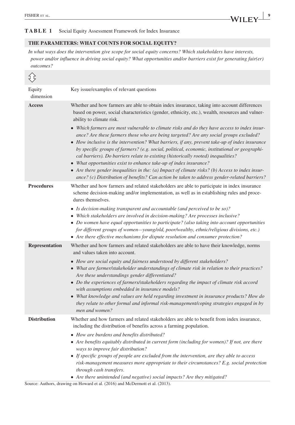#### **TABLE 1** Social Equity Assessment Framework for Index Insurance

#### **THE PARAMETERS: WHAT COUNTS FOR SOCIAL EQUITY?**

*In what ways does the intervention give scope for social equity concerns? Which stakeholders have interests, power and/or influence in driving social equity? What opportunities and/or barriers exist for generating fair(er) outcomes?*

| {}                    |                                                                                                                                                                                                                                                                                                                                                                                                                                                                                                                                                                                                                                                                                                                                                                                                                                                                                                                                                                                            |
|-----------------------|--------------------------------------------------------------------------------------------------------------------------------------------------------------------------------------------------------------------------------------------------------------------------------------------------------------------------------------------------------------------------------------------------------------------------------------------------------------------------------------------------------------------------------------------------------------------------------------------------------------------------------------------------------------------------------------------------------------------------------------------------------------------------------------------------------------------------------------------------------------------------------------------------------------------------------------------------------------------------------------------|
| Equity<br>dimension   | Key issue/examples of relevant questions                                                                                                                                                                                                                                                                                                                                                                                                                                                                                                                                                                                                                                                                                                                                                                                                                                                                                                                                                   |
| <b>Access</b>         | Whether and how farmers are able to obtain index insurance, taking into account differences<br>based on power, social characteristics (gender, ethnicity, etc.), wealth, resources and vulner-<br>ability to climate risk.<br>• Which farmers are most vulnerable to climate risks and do they have access to index insur-<br>ance? Are these farmers those who are being targeted? Are any social groups excluded?<br>$\bullet$ How inclusive is the intervention? What barriers, if any, prevent take-up of index insurance<br>by specific groups of farmers? (e.g. social, political, economic, institutional or geographi-<br>cal barriers). Do barriers relate to existing (historically rooted) inequalities?<br>• What opportunities exist to enhance take-up of index insurance?<br>• Are there gender inequalities in the: (a) Impact of climate risks? (b) Access to index insur-<br>ance? (c) Distribution of benefits? Can action be taken to address gender-related barriers? |
| <b>Procedures</b>     | Whether and how farmers and related stakeholders are able to participate in index insurance<br>scheme decision-making and/or implementation, as well as in establishing rules and proce-<br>dures themselves.<br>• Is decision-making transparent and accountable (and perceived to be so)?<br>• Which stakeholders are involved in decision-making? Are processes inclusive?<br>• Do women have equal opportunities to participate? (also taking into account opportunities<br>for different groups of women—young/old, poor/wealthy, ethnic/religious divisions, etc.)<br>• Are there effective mechanisms for dispute resolution and consumer protection?                                                                                                                                                                                                                                                                                                                               |
| <b>Representation</b> | Whether and how farmers and related stakeholders are able to have their knowledge, norms<br>and values taken into account.<br>• How are social equity and fairness understood by different stakeholders?<br>• What are farmer/stakeholder understandings of climate risk in relation to their practices?<br>Are these understandings gender differentiated?<br>• Do the experiences of farmers/stakeholders regarding the impact of climate risk accord<br>with assumptions embedded in insurance models?<br>• What knowledge and values are held regarding investment in insurance products? How do<br>they relate to other formal and informal risk-management/coping strategies engaged in by<br>men and women?                                                                                                                                                                                                                                                                         |
| <b>Distribution</b>   | Whether and how farmers and related stakeholders are able to benefit from index insurance,<br>including the distribution of benefits across a farming population.<br>• How are burdens and benefits distributed?<br>• Are benefits equitably distributed in current form (including for women)? If not, are there<br>ways to improve fair distribution?<br>• If specific groups of people are excluded from the intervention, are they able to access<br>risk-management measures more appropriate to their circumstances? E.g. social protection<br>through cash transfers.<br>• Are there unintended (and negative) social impacts? Are they mitigated?                                                                                                                                                                                                                                                                                                                                  |

Source: Authors, drawing on Howard et al. (2016) and McDermott et al. (2013).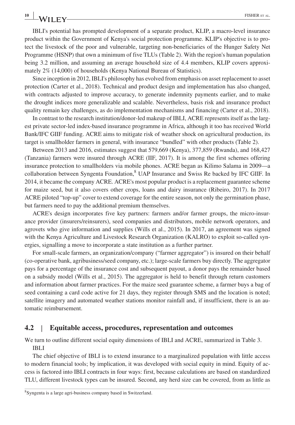IBLI's potential has prompted development of a separate product, KLIP, a macro‐level insurance product within the Government of Kenya's social protection programme. KLIP's objective is to protect the livestock of the poor and vulnerable, targeting non‐beneficiaries of the Hunger Safety Net Programme (HSNP) that own a minimum of five TLUs (Table 2). With the region's human population being 3.2 million, and assuming an average household size of 4.4 members, KLIP covers approximately 2% (14,000) of households (Kenya National Bureau of Statistics).

Since inception in 2012, IBLI's philosophy has evolved from emphasis on asset replacement to asset protection (Carter et al., 2018). Technical and product design and implementation has also changed, with contracts adjusted to improve accuracy, to generate indemnity payments earlier, and to make the drought indices more generalizable and scalable. Nevertheless, basis risk and insurance product quality remain key challenges, as do implementation mechanisms and financing (Carter et al., 2018).

In contrast to the research institution/donor‐led makeup of IBLI, ACRE represents itself as the largest private sector‐led index‐based insurance programme in Africa, although it too has received World Bank/IFC GIIF funding. ACRE aims to mitigate risk of weather shock on agricultural production, its target is smallholder farmers in general, with insurance "bundled" with other products (Table 2).

Between 2013 and 2016, estimates suggest that 579,669 (Kenya), 377,859 (Rwanda), and 168,427 (Tanzania) farmers were insured through ACRE (IIF, 2017). It is among the first schemes offering insurance protection to smallholders via mobile phones. ACRE began as Kilimo Salama in 2009—a collaboration between Syngenta Foundation,<sup>8</sup> UAP Insurance and Swiss Re backed by IFC GIIF. In 2014, it became the company ACRE. ACRE's most popular product is a replacement guarantee scheme for maize seed, but it also covers other crops, loans and dairy insurance (Ribeiro, 2017). In 2017 ACRE piloted "top‐up" cover to extend coverage for the entire season, not only the germination phase, but farmers need to pay the additional premium themselves.

ACRE's design incorporates five key partners: farmers and/or farmer groups, the micro‐insurance provider (insurers/reinsurers), seed companies and distributors, mobile network operators, and agrovets who give information and supplies (Wills et al., 2015). In 2017, an agreement was signed with the Kenya Agriculture and Livestock Research Organization (KALRO) to exploit so-called synergies, signalling a move to incorporate a state institution as a further partner.

For small-scale farmers, an organization/company ("farmer aggregator") is insured on their behalf (co‐operative bank, agribusiness/seed company, etc.); large‐scale farmers buy directly. The aggregator pays for a percentage of the insurance cost and subsequent payout, a donor pays the remainder based on a subsidy model (Wills et al., 2015). The aggregator is held to benefit through return customers and information about farmer practices. For the maize seed guarantee scheme, a farmer buys a bag of seed containing a card code active for 21 days, they register through SMS and the location is noted; satellite imagery and automated weather stations monitor rainfall and, if insufficient, there is an automatic reimbursement.

#### **4.2** | **Equitable access, procedures, representation and outcomes**

We turn to outline different social equity dimensions of IBLI and ACRE, summarized in Table 3. IBLI

The chief objective of IBLI is to extend insurance to a marginalized population with little access to modern financial tools; by implication, it was developed with social equity in mind. Equity of access is factored into IBLI contracts in four ways: first, because calculations are based on standardized TLU, different livestock types can be insured. Second, any herd size can be covered, from as little as

<sup>8</sup> Syngenta is a large agri‐business company based in Switzerland.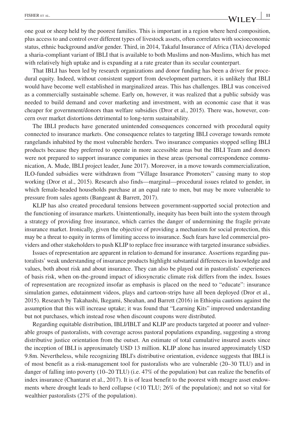one goat or sheep held by the poorest families. This is important in a region where herd composition, plus access to and control over different types of livestock assets, often correlates with socioeconomic status, ethnic background and/or gender. Third, in 2014, Takaful Insurance of Africa (TIA) developed a sharia‐compliant variant of IBLI that is available to both Muslims and non‐Muslims, which has met with relatively high uptake and is expanding at a rate greater than its secular counterpart.

That IBLI has been led by research organizations and donor funding has been a driver for procedural equity. Indeed, without consistent support from development partners, it is unlikely that IBLI would have become well established in marginalized areas. This has challenges. IBLI was conceived as a commercially sustainable scheme. Early on, however, it was realized that a public subsidy was needed to build demand and cover marketing and investment, with an economic case that it was cheaper for government/donors than welfare subsidies (Dror et al., 2015). There was, however, concern over market distortions detrimental to long‐term sustainability.

The IBLI products have generated unintended consequences concerned with procedural equity connected to insurance markets. One consequence relates to targeting IBLI coverage towards remote rangelands inhabited by the most vulnerable herders. Two insurance companies stopped selling IBLI products because they preferred to operate in more accessible areas but the IBLI Team and donors were not prepared to support insurance companies in these areas (personal correspondence communication, A. Mude, IBLI project leader, June 2017). Moreover, in a move towards commercialization, ILO‐funded subsidies were withdrawn from "Village Insurance Promoters" causing many to stop working (Dror et al., 2015). Research also finds—marginal—procedural issues related to gender, in which female-headed households purchase at an equal rate to men, but may be more vulnerable to pressure from sales agents (Bangeant & Barrett, 2017).

KLIP has also created procedural tensions between government-supported social protection and the functioning of insurance markets. Unintentionally, inequity has been built into the system through a strategy of providing free insurance, which carries the danger of undermining the fragile private insurance market. Ironically, given the objective of providing a mechanism for social protection, this may be a threat to equity in terms of limiting access to insurance. Such fears have led commercial providers and other stakeholders to push KLIP to replace free insurance with targeted insurance subsidies.

Issues of representation are apparent in relation to demand for insurance. Assertions regarding pastoralists' weak understanding of insurance products highlight substantial differences in knowledge and values, both about risk and about insurance. They can also be played out in pastoralists' experiences of basis risk, when on‐the‐ground impact of idiosyncratic climate risk differs from the index. Issues of representation are recognized insofar as emphasis is placed on the need to "educate": insurance simulation games, edutainment videos, plays and cartoon-strips have all been deployed (Dror et al., 2015). Research by Takahashi, Ikegami, Sheahan, and Barrett (2016) in Ethiopia cautions against the assumption that this will increase uptake; it was found that "Learning Kits" improved understanding but not purchases, which instead rose when discount coupons were distributed.

Regarding equitable distribution, IBLI/IBLT and KLIP are products targeted at poorer and vulnerable groups of pastoralists, with coverage across pastoral populations expanding, suggesting a strong distributive justice orientation from the outset. An estimate of total cumulative insured assets since the inception of IBLI is approximately USD 13 million. KLIP alone has insured approximately USD 9.8m. Nevertheless, while recognizing IBLI's distributive orientation, evidence suggests that IBLI is of most benefit as a risk‐management tool for pastoralists who are vulnerable (20–30 TLU) and in danger of falling into poverty (10–20 TLU) (i.e. 47% of the population) but can realize the benefits of index insurance (Chantarat et al., 2017). It is of least benefit to the poorest with meagre asset endowments where drought leads to herd collapse (<10 TLU; 26% of the population); and not so vital for wealthier pastoralists (27% of the population).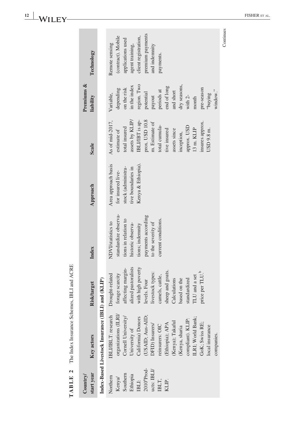| start year<br>Country/                                                                                       | Key actors                                                                                                                                                                                                                                                                                                      | Risk/target                                                                                                                                                                                                                                                                | Index                                                                                                                                                                          | Approach                                                                                                   | <b>Scale</b>                                                                                                                                                                                                                                                    | Premiums &<br>liability                                                                                                                                                                               | Technology                                                                                                                                             |
|--------------------------------------------------------------------------------------------------------------|-----------------------------------------------------------------------------------------------------------------------------------------------------------------------------------------------------------------------------------------------------------------------------------------------------------------|----------------------------------------------------------------------------------------------------------------------------------------------------------------------------------------------------------------------------------------------------------------------------|--------------------------------------------------------------------------------------------------------------------------------------------------------------------------------|------------------------------------------------------------------------------------------------------------|-----------------------------------------------------------------------------------------------------------------------------------------------------------------------------------------------------------------------------------------------------------------|-------------------------------------------------------------------------------------------------------------------------------------------------------------------------------------------------------|--------------------------------------------------------------------------------------------------------------------------------------------------------|
|                                                                                                              | Index-Based Livestock Insurance (IBLI) and (KLIP)                                                                                                                                                                                                                                                               |                                                                                                                                                                                                                                                                            |                                                                                                                                                                                |                                                                                                            |                                                                                                                                                                                                                                                                 |                                                                                                                                                                                                       |                                                                                                                                                        |
| $20104$ Prod-<br>ucts: IBLI/<br>Southern<br>Ethiopia<br>Northern<br>Kenya/<br>IBLT,<br>KLIP.<br><b>IBLI:</b> | organizations (ILRI/<br>IBLI/IBLT: research<br>Cornell University<br>USAID; Aus-AID;<br>California) Donors<br>LRI; World Bank;<br>compliant). KLIP:<br>Kenya); Takaful<br>GoK; Swiss RE;<br>(Ethiopia); APA<br><b>OFID</b> ) Insurers/<br>reinsurers: OIC<br>local insurance<br>(Kenya, sharia<br>University of | lized pastoralists<br>with high poverty<br>affecting margin-<br>heep and goats.<br>price per TLU. <sup>b</sup><br>livestock types:<br>forage scarcity<br>Drought-related<br>camels, cattle,<br>LU and a set<br>calculations<br>tandardized<br>based on the<br>levels. Four | standardize observa-<br>payments according<br>current conditions.<br>tions in relation to<br>NDVI/statistics to<br>to the severity of<br>historic observa-<br>tions; indemnity | Area approach basis<br>Kenya & Ethiopia).<br>tive boundaries in<br>stock (administra-<br>for insured live- | prox. USD 10.8<br>assets by KLIP/<br>As of mid-2017,<br>IBLI/IBT is ap-<br>m. Estimate of<br>insures approx<br>total cumula-<br>approx. USD<br>total insured<br>$13 \text{ m}$ . KLP<br>USD 9.8 m.<br>tive insured<br>assets since<br>estimate of<br>inception, | region. Two<br>dry seasons,<br>in the index<br>end of long<br>pre-season<br>on the risk<br>depending<br>periods at<br>and short<br>potential<br>Variable,<br>gurhaq,<br>payout<br>with $2$ -<br>month | premium payments<br>(contract). Mobile<br>client registration,<br>applications used<br>Remote sensing<br>agent training,<br>and indemnity<br>payments. |
|                                                                                                              | companies.                                                                                                                                                                                                                                                                                                      |                                                                                                                                                                                                                                                                            |                                                                                                                                                                                |                                                                                                            |                                                                                                                                                                                                                                                                 | window."                                                                                                                                                                                              | Continues                                                                                                                                              |

TABLE 2 The Index Insurance Schemes, IBLI and ACRE **TABLE 2** The Index Insurance Schemes, IBLI and ACRE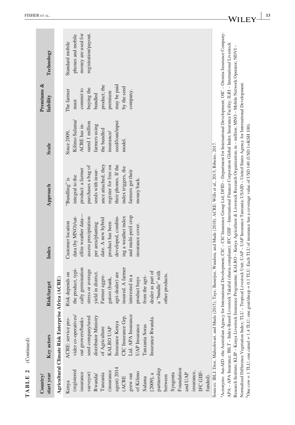| $\textbf{TABLE 2}$ (Continued)                                                                                                                                                                                                                                       |                                                                                                                                                                                                                                                                                                                                                                                                                                                                                                                                                                                                                                                                                                                                                                                                                                                                                                                                                                                                                                     |                                                                                                                                                                                                                                                                                                 |                                                                                                                                                                                                                                                 |                                                                                                                                                                                                                                    |                                                                                                                                             |                                                                                                                               |                                                                                    |
|----------------------------------------------------------------------------------------------------------------------------------------------------------------------------------------------------------------------------------------------------------------------|-------------------------------------------------------------------------------------------------------------------------------------------------------------------------------------------------------------------------------------------------------------------------------------------------------------------------------------------------------------------------------------------------------------------------------------------------------------------------------------------------------------------------------------------------------------------------------------------------------------------------------------------------------------------------------------------------------------------------------------------------------------------------------------------------------------------------------------------------------------------------------------------------------------------------------------------------------------------------------------------------------------------------------------|-------------------------------------------------------------------------------------------------------------------------------------------------------------------------------------------------------------------------------------------------------------------------------------------------|-------------------------------------------------------------------------------------------------------------------------------------------------------------------------------------------------------------------------------------------------|------------------------------------------------------------------------------------------------------------------------------------------------------------------------------------------------------------------------------------|---------------------------------------------------------------------------------------------------------------------------------------------|-------------------------------------------------------------------------------------------------------------------------------|------------------------------------------------------------------------------------|
| start year<br>Country/                                                                                                                                                                                                                                               | Key actors                                                                                                                                                                                                                                                                                                                                                                                                                                                                                                                                                                                                                                                                                                                                                                                                                                                                                                                                                                                                                          | Risk/target                                                                                                                                                                                                                                                                                     | Index                                                                                                                                                                                                                                           | Approach                                                                                                                                                                                                                           | <b>Scale</b>                                                                                                                                | Premiums &<br>liability                                                                                                       | Technology                                                                         |
|                                                                                                                                                                                                                                                                      | Agricultural Climate Risk Enterprise Africa (ACRE)                                                                                                                                                                                                                                                                                                                                                                                                                                                                                                                                                                                                                                                                                                                                                                                                                                                                                                                                                                                  |                                                                                                                                                                                                                                                                                                 |                                                                                                                                                                                                                                                 |                                                                                                                                                                                                                                    |                                                                                                                                             |                                                                                                                               |                                                                                    |
| agent) 2014<br>partnership<br>Foundation<br>(registered<br>(insurance<br>insurance,<br>IFC GIIF-<br>of Kilimo<br>insurance<br>surveyor)<br>Syngenta<br>Tanzania<br>and UAP<br>$[2009]$ , a<br>Rwanda/<br>grew out<br>between<br>funded).<br>(ACRE<br>Salama<br>Kenya | Ltd. APA Insurance<br>vider co-operatives/<br>distributor Ministry<br>CIC Insurance Grp.<br>seed company/seed<br>Insurance Rwanda.<br>out growers/banks<br>ACRE: service pro-<br>Insurance Kenya<br>UAP Insurance<br>Tanzania Soras<br>of Agriculture<br>KALRO UAP                                                                                                                                                                                                                                                                                                                                                                                                                                                                                                                                                                                                                                                                                                                                                                  | insured. A farmer<br>cally germination<br>the product, typi-<br>stress or average<br>dealer as part of<br>a "bundle" with<br>rield in district.<br>Risk depends on<br>agri-dealer) are<br>other products.<br>armer aggre-<br>interested in a<br>from the agri-<br>gators (bank,<br>product buys | ellite weather data-<br>and multi-peril crop<br>developed, combin-<br>data (by MNO)/sat-<br>assess precipitation<br>ing a weather index<br>date. A new hybrid<br>Customer location<br>per area/planting<br>product has been<br>insurance cover. | ance attached; they<br>their phones. If the<br>purchases a bag of<br>register for free on<br>index triggers, the<br>product: a farmer<br>seeds with insur-<br>farmers get their<br>integral to the<br>"Bundling" is<br>money back. | Kilimo Salama/<br>seed/loan/input<br>sured 1 million<br>ACRE has in-<br>farmers using<br>the bundled<br>Since 2009,<br>insurance/<br>model. | may be paid<br>product; the<br>by the seed<br>buying the<br>commit to<br>The farmer<br>company.<br>premium<br>bundled<br>must | registration/payout.<br>money are used for<br>phones and mobile<br>Standard mobile |
|                                                                                                                                                                                                                                                                      | "Acronyms: AusAID-the Australian Agency for International Development; CIC - CIC Insurance Group Ltd; DFID-Department for International Development; OIC-Oromia Insurance Company:<br>APA - APA Insurance; IBLT - Index-Based Livestock Takaful (sharia compliant); IFC GIIF - International Finance Corporation Global Index Insurance Facility; ILRI - International Livestock<br>Research Institute; KLIP – Kenya Livestock Insurance Programme; KALRO – Kenya Agriculture & Livestock Research Organization; m – million; MNO – Mobile Network Operator; NDVI –<br>Normalized Difference Vegetation Index; TLU - Tropical Livestock Unit; UAP - UAP Insurance Tanzania; USAID - United States Agency for International Development.<br>${}^{10}$ One cow = 1 TLU; one camel = 1.4 TLU; one goat/sheep = 0.1 TLU. Each TLU of insurance has a coverage value of USD 140 (USD 1=KSH 100).<br>Sources: IBLI: Dror, Maheshwari, and Mude (2015); Taye, Banerjee, Wandera, and Mude (2018). ACRE: Wills et al., 2015; Ribeiro, 2017. |                                                                                                                                                                                                                                                                                                 |                                                                                                                                                                                                                                                 |                                                                                                                                                                                                                                    |                                                                                                                                             |                                                                                                                               |                                                                                    |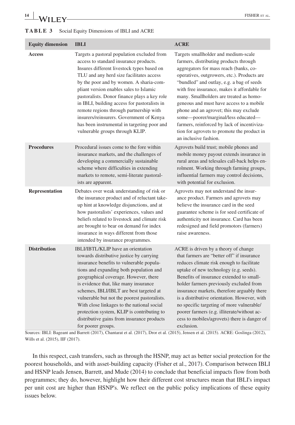## **<sup>14</sup> <sup>|</sup>** FISHER et al.

| <b>TABLE 3</b> Social Equity Dimensions of IBLI and ACRE |  |
|----------------------------------------------------------|--|
|----------------------------------------------------------|--|

| <b>Equity dimension</b> | <b>IBLI</b>                                                                                                                                                                                                                                                                                                                                                                                                                                                                                                                                    | <b>ACRE</b>                                                                                                                                                                                                                                                                                                                                                                                                                                                                                                                                                         |
|-------------------------|------------------------------------------------------------------------------------------------------------------------------------------------------------------------------------------------------------------------------------------------------------------------------------------------------------------------------------------------------------------------------------------------------------------------------------------------------------------------------------------------------------------------------------------------|---------------------------------------------------------------------------------------------------------------------------------------------------------------------------------------------------------------------------------------------------------------------------------------------------------------------------------------------------------------------------------------------------------------------------------------------------------------------------------------------------------------------------------------------------------------------|
| <b>Access</b>           | Targets a pastoral population excluded from<br>access to standard insurance products.<br>Insures different livestock types based on<br>TLU and any herd size facilitates access<br>by the poor and by women. A sharia-com-<br>pliant version enables sales to Islamic<br>pastoralists. Donor finance plays a key role<br>in IBLI, building access for pastoralists in<br>remote regions through partnership with<br>insurers/reinsurers. Government of Kenya<br>has been instrumental in targeting poor and<br>vulnerable groups through KLIP. | Targets smallholder and medium-scale<br>farmers, distributing products through<br>aggregators for mass reach (banks, co-<br>operatives, outgrowers, etc.). Products are<br>"bundled" and outlay, e.g. a bag of seeds<br>with free insurance, makes it affordable for<br>many. Smallholders are treated as homo-<br>geneous and must have access to a mobile<br>phone and an agrovet; this may exclude<br>some-poorer/marginal/less educated-<br>farmers, reinforced by lack of incentiviza-<br>tion for agrovets to promote the product in<br>an inclusive fashion. |
| <b>Procedures</b>       | Procedural issues come to the fore within<br>insurance markets, and the challenges of<br>developing a commercially sustainable<br>scheme where difficulties in extending<br>markets to remote, semi-literate pastoral-<br>ists are apparent.                                                                                                                                                                                                                                                                                                   | Agrovets build trust; mobile phones and<br>mobile money payout extends insurance in<br>rural areas and telesales call-back helps en-<br>rolment. Working through farming groups,<br>influential farmers may control decisions,<br>with potential for exclusion.                                                                                                                                                                                                                                                                                                     |
| Representation          | Debates over weak understanding of risk or<br>the insurance product and of reluctant take-<br>up hint at knowledge disjunctions, and at<br>how pastoralists' experiences, values and<br>beliefs related to livestock and climate risk<br>are brought to bear on demand for index<br>insurance in ways different from those<br>intended by insurance programmes.                                                                                                                                                                                | Agrovets may not understand the insur-<br>ance product. Farmers and agrovets may<br>believe the insurance card in the seed<br>guarantee scheme is for seed certificate of<br>authenticity not insurance. Card has been<br>redesigned and field promotors (farmers)<br>raise awareness.                                                                                                                                                                                                                                                                              |
| <b>Distribution</b>     | IBLI/IBTL/KLIP have an orientation<br>towards distributive justice by carrying<br>insurance benefits to vulnerable popula-<br>tions and expanding both population and<br>geographical coverage. However, there<br>is evidence that, like many insurance<br>schemes, IBLI/IBLT are best targeted at<br>vulnerable but not the poorest pastoralists.<br>With close linkages to the national social<br>protection system, KLIP is contributing to<br>distributive gains from insurance products<br>for poorer groups.                             | ACRE is driven by a theory of change<br>that farmers are "better off" if insurance<br>reduces climate risk enough to facilitate<br>uptake of new technology (e.g. seeds).<br>Benefits of insurance extended to small-<br>holder farmers previously excluded from<br>insurance markets, therefore arguably there<br>is a distributive orientation. However, with<br>no specific targeting of more vulnerable/<br>poorer farmers (e.g. illiterate/without ac-<br>cess to mobiles/agrovets) there is danger of<br>exclusion.<br>$1000 - 0$                             |

Sources: IBLI: Bageant and Barrett (2017), Chantarat et al. (2017), Dror et al. (2015), Jensen et al. (2015). ACRE: Goslinga (2012), Wills et al. (2015), IIF (2017).

In this respect, cash transfers, such as through the HSNP, may act as better social protection for the poorest households, and with asset-building capacity (Fisher et al., 2017). Comparison between IBLI and HSNP leads Jensen, Barrett, and Mude (2014) to conclude that beneficial impacts flow from both programmes; they do, however, highlight how their different cost structures mean that IBLI's impact per unit cost are higher than HSNP's. We reflect on the public policy implications of these equity issues below.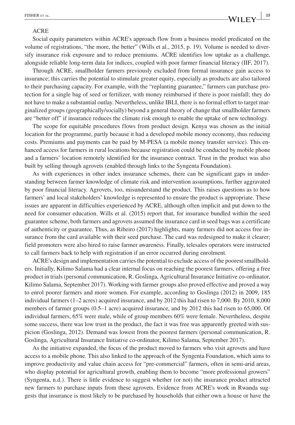#### ACRE

Social equity parameters within ACRE's approach flow from a business model predicated on the volume of registrations, "the more, the better" (Wills et al., 2015, p. 19). Volume is needed to diversify insurance risk exposure and to reduce premiums. ACRE identifies low uptake as a challenge, alongside reliable long‐term data for indices, coupled with poor farmer financial literacy (IIF, 2017).

Through ACRE, smallholder farmers previously excluded from formal insurance gain access to insurance; this carries the potential to stimulate greater equity, especially as products are also tailored to their purchasing capacity. For example, with the "replanting guarantee," farmers can purchase protection for a single bag of seed or fertilizer, with money reimbursed if there is poor rainfall; they do not have to make a substantial outlay. Nevertheless, unlike IBLI, there is no formal effort to target marginalized groups (geographically/socially) beyond a general theory of change that smallholder farmers are "better off" if insurance reduces the climate risk enough to enable the uptake of new technology.

The scope for equitable procedures flows from product design. Kenya was chosen as the initial location for the programme, partly because it had a developed mobile money economy, thus reducing costs. Premiums and payments can be paid by M‐PESA (a mobile money transfer service). This enhanced access for farmers in rural locations because registration could be conducted by mobile phone and a farmers' location remotely identified for the insurance contract. Trust in the product was also built by selling through agrovets (enabled through links to the Syngenta Foundation).

As with experiences in other index insurance schemes, there can be significant gaps in understanding between farmer knowledge of climate risk and intervention assumptions, further aggravated by poor financial literacy. Agrovets, too, misunderstand the product. This raises questions as to how farmers' and local stakeholders' knowledge is represented to ensure the product is appropriate. These issues are apparent in difficulties experienced by ACRE, although often implicit and put down to the need for consumer education. Wills et al. (2015) report that, for insurance bundled within the seed guarantee scheme, both farmers and agrovets assumed the insurance card in seed bags was a certificate of authenticity or guarantee. Thus, as Ribeiro (2017) highlights, many farmers did not access free insurance from the card available with their seed purchase. The card was redesigned to make it clearer; field promoters were also hired to raise farmer awareness. Finally, telesales operators were instructed to call farmers back to help with registration if an error occurred during enrolment.

ACRE's design and implementation carries the potential to exclude access of the poorest smallholders. Initially, Kilimo Salama had a clear internal focus on reaching the poorest farmers, offering a free product in trials (personal communication, R. Goslinga, Agricultural Insurance Initiative co-ordinator, Kilimo Salama, September 2017). Working with farmer groups also proved effective and proved a way to enrol poorer farmers and more women. For example, according to Goslinga (2012) in 2009, 185 individual farmers (1–2 acres) acquired insurance, and by 2012 this had risen to 7,000. By 2010, 8,000 members of farmer groups (0.5–1 acre) acquired insurance, and by 2012 this had risen to 65,000. Of individual farmers, 65% were male, while of group members 60% were female. Nevertheless, despite some success, there was low trust in the product, the fact it was free was apparently greeted with suspicion (Goslinga, 2012). Demand was lowest from the poorest farmers (personal communication, R. Goslinga, Agricultural Insurance Initiative co‐ordinator, Kilimo Salama, September 2017).

As the initiative expanded, the focus of the product moved to farmers who visit agrovets and have access to a mobile phone. This also linked to the approach of the Syngenta Foundation, which aims to improve productivity and value chain access for "pre‐commercial" farmers, often in semi‐arid areas, who display potential for agricultural growth, enabling them to become "more professional growers" (Syngenta, n.d.). There is little evidence to suggest whether (or not) the insurance product attracted new farmers to purchase inputs from these agrovets. Evidence from ACRE's work in Rwanda suggests that insurance is most likely to be purchased by households that either own a house or have the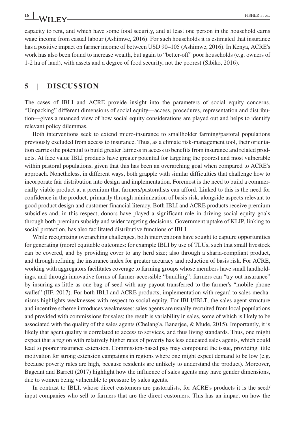capacity to rent, and which have some food security, and at least one person in the household earns wage income from casual labour (Ashimwe, 2016). For such households it is estimated that insurance has a positive impact on farmer income of between USD 90–105 (Ashimwe, 2016). In Kenya, ACRE's work has also been found to increase wealth, but again to "better-off" poor households (e.g. owners of 1‐2 ha of land), with assets and a degree of food security, not the poorest (Sibiko, 2016).

#### **5** | **DISCUSSION**

The cases of IBLI and ACRE provide insight into the parameters of social equity concerns. "Unpacking" different dimensions of social equity—access, procedures, representation and distribution—gives a nuanced view of how social equity considerations are played out and helps to identify relevant policy dilemmas.

Both interventions seek to extend micro-insurance to smallholder farming/pastoral populations previously excluded from access to insurance. Thus, as a climate risk‐management tool, their orientation carries the potential to build greater fairness in access to benefits from insurance and related products. At face value IBLI products have greater potential for targeting the poorest and most vulnerable within pastoral populations, given that this has been an overarching goal when compared to ACRE's approach. Nonetheless, in different ways, both grapple with similar difficulties that challenge how to incorporate fair distribution into design and implementation. Foremost is the need to build a commercially viable product at a premium that farmers/pastoralists can afford. Linked to this is the need for confidence in the product, primarily through minimization of basis risk, alongside aspects relevant to good product design and customer financial literacy. Both IBLI and ACRE products receive premium subsidies and, in this respect, donors have played a significant role in driving social equity goals through both premium subsidy and wider targeting decisions. Government uptake of KLIP, linking to social protection, has also facilitated distributive functions of IBLI.

While recognizing overarching challenges, both interventions have sought to capture opportunities for generating (more) equitable outcomes: for example IBLI by use of TLUs, such that small livestock can be covered, and by providing cover to any herd size; also through a sharia‐compliant product, and through refining the insurance index for greater accuracy and reduction of basis risk. For ACRE, working with aggregators facilitates coverage to farming groups whose members have small landholdings, and through innovative forms of farmer‐accessible "bundling"; farmers can "try out insurance" by insuring as little as one bag of seed with any payout transferred to the farmer's "mobile phone wallet" (IIF, 2017). For both IBLI and ACRE products, implementation with regard to sales mechanisms highlights weaknesses with respect to social equity. For IBLI/IBLT, the sales agent structure and incentive scheme introduces weaknesses: sales agents are usually recruited from local populations and provided with commissions for sales; the result is variability in sales, some of which is likely to be associated with the quality of the sales agents (Chelang'a, Banerjee, & Mude, 2015). Importantly, it is likely that agent quality is correlated to access to services, and thus living standards. Thus, one might expect that a region with relatively higher rates of poverty has less educated sales agents, which could lead to poorer insurance extension. Commission‐based pay may compound the issue, providing little motivation for strong extension campaigns in regions where one might expect demand to be low (e.g. because poverty rates are high, because residents are unlikely to understand the product). Moreover, Bageant and Barrett (2017) highlight how the influence of sales agents may have gender dimensions, due to women being vulnerable to pressure by sales agents.

In contrast to IBLI, whose direct customers are pastoralists, for ACRE's products it is the seed/ input companies who sell to farmers that are the direct customers. This has an impact on how the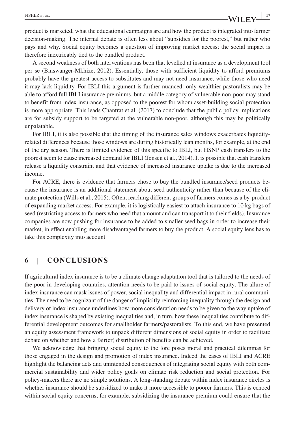product is marketed, what the educational campaigns are and how the product is integrated into farmer decision‐making. The internal debate is often less about "subsidies for the poorest," but rather who pays and why. Social equity becomes a question of improving market access; the social impact is therefore inextricably tied to the bundled product.

A second weakness of both interventions has been that levelled at insurance as a development tool per se (Binswanger‐Mkhize, 2012). Essentially, those with sufficient liquidity to afford premiums probably have the greatest access to substitutes and may not need insurance, while those who need it may lack liquidity. For IBLI this argument is further nuanced: only wealthier pastoralists may be able to afford full IBLI insurance premiums, but a middle category of vulnerable non‐poor may stand to benefit from index insurance, as opposed to the poorest for whom asset-building social protection is more appropriate. This leads Chantrat et al. (2017) to conclude that the public policy implications are for subsidy support to be targeted at the vulnerable non‐poor, although this may be politically unpalatable.

For IBLI, it is also possible that the timing of the insurance sales windows exacerbates liquidity– related differences because those windows are during historically lean months, for example, at the end of the dry season. There is limited evidence of this specific to IBLI, but HSNP cash transfers to the poorest seem to cause increased demand for IBLI (Jensen et al., 2014). It is possible that cash transfers release a liquidity constraint and that evidence of increased insurance uptake is due to the increased income.

For ACRE, there is evidence that farmers chose to buy the bundled insurance/seed products because the insurance is an additional statement about seed authenticity rather than because of the climate protection (Wills et al., 2015). Often, reaching different groups of farmers comes as a by‐product of expanding market access. For example, it is logistically easiest to attach insurance to 10 kg bags of seed (restricting access to farmers who need that amount and can transport it to their fields). Insurance companies are now pushing for insurance to be added to smaller seed bags in order to increase their market, in effect enabling more disadvantaged farmers to buy the product. A social equity lens has to take this complexity into account.

#### **6** | **CONCLUSIONS**

If agricultural index insurance is to be a climate change adaptation tool that is tailored to the needs of the poor in developing countries, attention needs to be paid to issues of social equity. The allure of index insurance can mask issues of power, social inequality and differential impact in rural communities. The need to be cognizant of the danger of implicitly reinforcing inequality through the design and delivery of index insurance underlines how more consideration needs to be given to the way uptake of index insurance is shaped by existing inequalities and, in turn, how these inequalities contribute to differential development outcomes for smallholder farmers/pastoralists. To this end, we have presented an equity assessment framework to unpack different dimensions of social equity in order to facilitate debate on whether and how a fair(er) distribution of benefits can be achieved.

We acknowledge that bringing social equity to the fore poses moral and practical dilemmas for those engaged in the design and promotion of index insurance. Indeed the cases of IBLI and ACRE highlight the balancing acts and unintended consequences of integrating social equity with both commercial sustainability and wider policy goals on climate risk reduction and social protection. For policy–makers there are no simple solutions. A long-standing debate within index insurance circles is whether insurance should be subsidized to make it more accessible to poorer farmers. This is echoed within social equity concerns, for example, subsidizing the insurance premium could ensure that the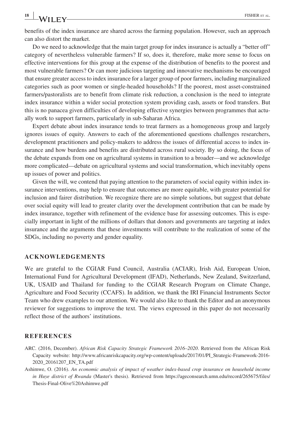benefits of the index insurance are shared across the farming population. However, such an approach can also distort the market.

Do we need to acknowledge that the main target group for index insurance is actually a "better off" category of nevertheless vulnerable farmers? If so, does it, therefore, make more sense to focus on effective interventions for this group at the expense of the distribution of benefits to the poorest and most vulnerable farmers? Or can more judicious targeting and innovative mechanisms be encouraged that ensure greater access to index insurance for a larger group of poor farmers, including marginalized categories such as poor women or single‐headed households? If the poorest, most asset‐constrained farmers/pastoralists are to benefit from climate risk reduction, a conclusion is the need to integrate index insurance within a wider social protection system providing cash, assets or food transfers. But this is no panacea given difficulties of developing effective synergies between programmes that actually work to support farmers, particularly in sub‐Saharan Africa.

Expert debate about index insurance tends to treat farmers as a homogeneous group and largely ignores issues of equity. Answers to each of the aforementioned questions challenges researchers, development practitioners and policy‐makers to address the issues of differential access to index insurance and how burdens and benefits are distributed across rural society. By so doing, the focus of the debate expands from one on agricultural systems in transition to a broader—and we acknowledge more complicated—debate on agricultural systems and social transformation, which inevitably opens up issues of power and politics.

Given the will, we contend that paying attention to the parameters of social equity within index insurance interventions, may help to ensure that outcomes are more equitable, with greater potential for inclusion and fairer distribution. We recognize there are no simple solutions, but suggest that debate over social equity will lead to greater clarity over the development contribution that can be made by index insurance, together with refinement of the evidence base for assessing outcomes. This is especially important in light of the millions of dollars that donors and governments are targeting at index insurance and the arguments that these investments will contribute to the realization of some of the SDGs, including no poverty and gender equality.

#### **ACKNOWLEDGEMENTS**

We are grateful to the CGIAR Fund Council, Australia (ACIAR), Irish Aid, European Union, International Fund for Agricultural Development (IFAD), Netherlands, New Zealand, Switzerland, UK, USAID and Thailand for funding to the CGIAR Research Program on Climate Change, Agriculture and Food Security (CCAFS). In addition, we thank the IRI Financial Instruments Sector Team who drew examples to our attention. We would also like to thank the Editor and an anonymous reviewer for suggestions to improve the text. The views expressed in this paper do not necessarily reflect those of the authors' institutions.

#### **REFERENCES**

- ARC. (2016, December). *African Risk Capacity Strategic Framework 2016–2020*. Retrieved from the African Risk Capacity website: [http://www.africanriskcapacity.org/wp-content/uploads/2017/01/PI\\_Strategic-Framework-2016-](http://www.africanriskcapacity.org/wp-content/uploads/2017/01/PI_Strategic-Framework-2016-2020_20161207_EN_TA.pdf) [2020\\_20161207\\_EN\\_TA.pdf](http://www.africanriskcapacity.org/wp-content/uploads/2017/01/PI_Strategic-Framework-2016-2020_20161207_EN_TA.pdf)
- Ashimwe, O. (2016). *An economic analysis of impact of weather index‐based crop insurance on household income in Huye district of Rwanda* (Master's thesis). Retrieved from [https://ageconsearch.umn.edu/record/265675/files/](https://ageconsearch.umn.edu/record/265675/files/Thesis-Final-Olive Ashimwe.pdf) [Thesis-Final-Olive%20Ashimwe.pdf](https://ageconsearch.umn.edu/record/265675/files/Thesis-Final-Olive Ashimwe.pdf)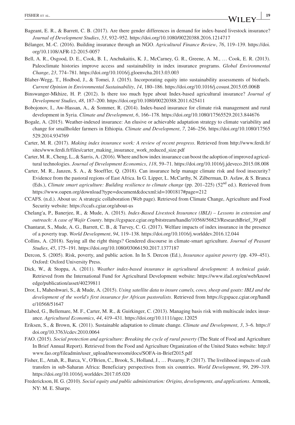- Bageant, E. R., & Barrett, C. B. (2017). Are there gender differences in demand for index-based livestock insurance? *Journal of Development Studies*, *53*, 932–952.<https://doi.org/10.1080/00220388.2016.1214717>
- Bélanger, M.‐C. (2016). Building insurance through an NGO. *Agricultural Finance Review*, *76*, 119–139. [https://doi.](https://doi.org/10.1108/AFR-12-2015-0057) [org/10.1108/AFR-12-2015-0057](https://doi.org/10.1108/AFR-12-2015-0057)
- Bell, A. R., Osgood, D. E., Cook, B. I., Anchukaitis, K. J., McCarney, G. R., Greene, A. M., … Cook, E. R. (2013). Paleoclimate histories improve access and sustainability in index insurance programs. *Global Environmental Change*, *23*, 774–781. <https://doi.org/10.1016/j.gloenvcha.2013.03.003>
- Blaber‐Wegg, T., Hodbod, J., & Tomei, J. (2015). Incorporating equity into sustainability assessments of biofuels. *Current Opinion in Environmental Sustainability*, *14*, 180–186.<https://doi.org/10.1016/j.cosust.2015.05.006B>
- Binswanger‐Mkhize, H. P. (2012). Is there too much hype about Index‐based agricultural insurance? *Journal of Development Studies*, *48*, 187–200. <https://doi.org/10.1080/00220388.2011.625411>
- Bobojonov, I., Aw-Hassan, A., & Sommer, R. (2014). Index-based insurance for climate risk management and rural development in Syria. *Climate and Development*, *6*, 166–178. <https://doi.org/10.1080/17565529.2013.844676>
- Bogale, A. (2015). Weather-indexed insurance: An elusive or achievable adaptation strategy to climate variability and change for smallholder farmers in Ethiopia. *Climate and Development*, *7*, 246–256. [https://doi.org/10.1080/17565](https://doi.org/10.1080/17565529.2014.934769) [529.2014.934769](https://doi.org/10.1080/17565529.2014.934769)
- Carter, M. R. (2017). *Making index insurance work: A review of recent progress*. Retrieved from [http://www.ferdi.fr/](http://www.ferdi.fr/sites/www.ferdi.fr/files/carter_making_insurance_work_reduced_size.pdf) [sites/www.ferdi.fr/files/carter\\_making\\_insurance\\_work\\_reduced\\_size.pdf](http://www.ferdi.fr/sites/www.ferdi.fr/files/carter_making_insurance_work_reduced_size.pdf)
- Carter, M. R., Cheng, L., & Sarris, A. (2016). Where and how index insurance can boost the adoption of improved agricultural technologies. *Journal of Development Economics*, *118*, 59–71. <https://doi.org/10.1016/j.jdeveco.2015.08.008>
- Carter, M. R., Janzen, S. A., & Stoeffler, Q. (2018). Can insurance help manage climate risk and food insecurity? Evidence from the pastoral regions of East Africa. In G. Lipper, L. McCarthy, N. Zilberman, D. Asfaw, & S. Branca (Eds.), *Climate smart agriculture: Building resilience to climate change* (pp. 201–225) (52nd ed.). Retrieved from <https://www.oapen.org/download?type=document&docxml:id=1001817#page=212>
- CCAFS. (n.d.). About us: A strategic collaboration (Web page). Retrieved from Climate Change, Agriculture and Food Security website:<https://ccafs.cgiar.org/about-us>
- Chelang'a, P., Banerjee, R., & Mude, A. (2015). *Index‐Based Livestock Insurance (IBLI) Lessons in extension and outreach: A case of Wajir County*. [https://cgspace.cgiar.org/bitstream/handle/10568/56823/ResearchBrief\\_39.pdf](https://cgspace.cgiar.org/bitstream/handle/10568/56823/ResearchBrief_39.pdf)
- Chantarat, S., Mude, A. G., Barrett, C. B., & Turvey, C. G. (2017). Welfare impacts of index insurance in the presence of a poverty trap. *World Development*, *94*, 119–138. <https://doi.org/10.1016/j.worlddev.2016.12.044>
- Collins, A. (2018). Saying all the right things? Gendered discourse in climate‐smart agriculture. *Journal of Peasant Studies*, *45*, 175–191.<https://doi.org/10.1080/03066150.2017.1377187>
- Dercon, S. (2005). Risk, poverty, and public action. In In S. Dercon (Ed.), *Insurance against poverty* (pp. 439–451). Oxford: Oxford University Press.
- Dick, W., & Stoppa, A. (2011). *Weather index‐based insurance in agricultural development: A technical guide*. Retrieved from the International Fund for Agricultural Development website: [https://www.ifad.org/en/web/knowl](https://www.ifad.org/en/web/knowledge/publication/asset/40239811) [edge/publication/asset/40239811](https://www.ifad.org/en/web/knowledge/publication/asset/40239811)
- Dror, I., Maheshwari, S., & Mude, A. (2015). *Using satellite data to insure camels, cows, sheep and goats: IBLI and the development of the world's first insurance for African pastoralists*. Retrieved from [https://cgspace.cgiar.org/handl](https://cgspace.cgiar.org/handle/10568/51647) [e/10568/51647](https://cgspace.cgiar.org/handle/10568/51647)
- Elabed, G., Bellemare, M. F., Carter, M. R., & Guirkinger, C. (2013). Managing basis risk with multiscale index insurance. *Agricultural Economics*, *44*, 419–431.<https://doi.org/10.1111/agec.12025>
- Eriksen, S., & Brown, K. (2011). Sustainable adaptation to climate change. *Climate and Development*, *3*, 3–6. [https://](https://doi.org/10.3763/cdev.2010.0064) [doi.org/10.3763/cdev.2010.0064](https://doi.org/10.3763/cdev.2010.0064)
- FAO. (2015). *Social protection and agriculture: Breaking the cycle of rural poverty* (The State of Food and Agriculture In Brief Annual Report). Retrieved from the Food and Agriculture Organization of the United States website: [http://](http://www.fao.org/fileadmin/user_upload/newsroom/docs/SOFA-in-Brief2015.pdf) [www.fao.org/fileadmin/user\\_upload/newsroom/docs/SOFA-in-Brief2015.pdf](http://www.fao.org/fileadmin/user_upload/newsroom/docs/SOFA-in-Brief2015.pdf)
- Fisher, E., Attah, R., Barca, V., O'Brien, C., Brook, S., Holland, J., … Pozarny, P. (2017). The livelihood impacts of cash transfers in sub‐Saharan Africa: Beneficiary perspectives from six countries. *World Development*, *99*, 299–319. <https://doi.org/10.1016/j.worlddev.2017.05.020>
- Frederickson, H. G. (2010). *Social equity and public administration: Origins, developments, and applications*. Armonk, NY: M. E. Sharpe.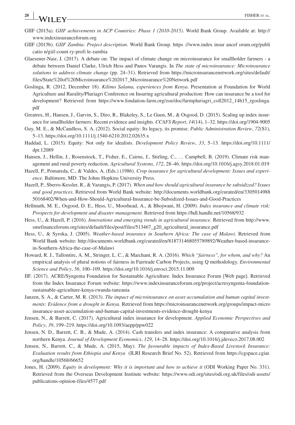- GIIF (2015a). *GIIF achievements in ACP Countries: Phase 1 (2010-2015)*. World Bank Group. Available at: [http://](http://www.indexinsuranceforum.org) [www.indexinsuranceforum.org](http://www.indexinsuranceforum.org)
- GIIF (2015b). *GIIF Zambia: Project description*. World Bank Group. [https ://www.index insur ancef orum.org/publi](https://www.index insur ancef orum.org/publi catio n/ giif-count ry-profi le-zambia) [catio n/giif-count ry-profi le-zambia](https://www.index insur ancef orum.org/publi catio n/ giif-count ry-profi le-zambia)
- Glaesener-Nasr, J. (2017). A debate on: The impact of climate change on microinsurance for smallholder farmers a debate between Daniel Clarke, Ulrich Hess and Panos Varangis. In *The state of microinsurance: Microinsurance solutions to address climate change* (pp. 24–31). Retrieved from [https://microinsurancenetwork.org/sites/default/](https://microinsurancenetwork.org/sites/default/files/State of Microinsurance 2017_Microinsurance Network.pdf) [files/State%20of%20Microinsurance%202017\\_Microinsurance%20Network.pdf](https://microinsurancenetwork.org/sites/default/files/State of Microinsurance 2017_Microinsurance Network.pdf)
- Goslinga, R. (2012, December 18). *Kilimo Salama, experiences from Kenya*. Presentation at Foundation for World Agriculture and Rurality/Pluriagri Conference on Insuring agricultural production: How can insurance be a tool for development? Retrieved from [https://www.fondation-farm.org/zoe/doc/farmpluriagri\\_coll2012\\_14h15\\_rgoslinga.](https://www.fondation-farm.org/zoe/doc/farmpluriagri_coll2012_14h15_rgoslinga.pdf) [pdf](https://www.fondation-farm.org/zoe/doc/farmpluriagri_coll2012_14h15_rgoslinga.pdf)
- Greatrex, H., Hansen, J., Garvin, S., Diro, R., Blakeley, S., Le Guen, M., & Osgood, D. (2015). Scaling up index insurance for smallholder farmers: Recent evidence and insights. *CCAFS Report*, *14*(14), 1–32.<https://doi.org/1904-9005>
- Guy, M. E., & McCandless, S. A. (2012). Social equity: Its legacy, its promise. *Public Administration Review*, *72*(S1), 5–13. <https://doi.org/10.1111/j.1540-6210.2012.02635.x>
- Haddad, L. (2015). Equity: Not only for idealists. *Development Policy Review*, *33*, 5–13. [https://doi.org/10.1111/](https://doi.org/10.1111/dpr.12089) [dpr.12089](https://doi.org/10.1111/dpr.12089)
- Hansen, J., Hellin, J., Rosenstock, T., Fisher, E., Cairns, J., Stirling, C., … Campbell, B. (2019). Climate risk management and rural poverty reduction. *Agricultural Systems*, *172*, 28–46.<https://doi.org/10.1016/j.agsy.2018.01.019>
- Hazell, P., Pomareda, C., & Valdes, A. (Eds.) (1986). *Crop insurance for agricultural development: Issues and experience*. Baltimore, MD: The Johns Hopkins University Press.
- Hazell, P., Sberro‐Kessler, R., & Varangis, P. (2017). *When and how should agricultural insurance be subsidized? Issues and good practices*. Retrieved from World Bank website: [http://documents.worldbank.org/curated/en/3305014988](http://documents.worldbank.org/curated/en/330501498850168402/When-and-How-Should-Agricultural-Insurance-be-Subsidized-Issues-and-Good-Practices) [50168402/When-and-How-Should-Agricultural-Insurance-be-Subsidized-Issues-and-Good-Practices](http://documents.worldbank.org/curated/en/330501498850168402/When-and-How-Should-Agricultural-Insurance-be-Subsidized-Issues-and-Good-Practices)
- Hellmuth, M. E., Osgood, D. E., Hess, U., Moorhead, A., & Bhojwani, H. (2009). *Index insurance and climate risk: Prospects for development and disaster management*. Retrieved from<https://hdl.handle.net/10568/932>
- Hess, U., & Hazell, P. (2016). *Innovations and emerging trends in agricultural insurance*. Retrieved from [http://www.](http://www.smefinanceforum.org/sites/default/files/post/files/513467_g20_agricultural_insurance.pdf) [smefinanceforum.org/sites/default/files/post/files/513467\\_g20\\_agricultural\\_insurance.pdf](http://www.smefinanceforum.org/sites/default/files/post/files/513467_g20_agricultural_insurance.pdf)
- Hess, U., & Syroka, J. (2005). *Weather-based insurance in Southern Africa: The case of Malawi*. Retrieved from World Bank website: [http://documents.worldbank.org/curated/en/818731468055789892/Weather-based-insurance](http://documents.worldbank.org/curated/en/818731468055789892/Weather-based-insurance-in-Southern-Africa-the-case-of-Malawi)[in-Southern-Africa-the-case-of-Malawi](http://documents.worldbank.org/curated/en/818731468055789892/Weather-based-insurance-in-Southern-Africa-the-case-of-Malawi)
- Howard, R. J., Tallontire, A. M., Stringer, L. C., & Marchant, R. A. (2016). *Which "fairness", for whom, and why?* An empirical analysis of plural notions of fairness in Fairtrade Carbon Projects, using Q methodology. *Environmental Science and Policy*, *56*, 100–109. <https://doi.org/10.1016/j.envsci.2015.11.009>
- IIF. (2017). ACRE/Syngenta Foundation for Sustainable Agriculture. Index Insurance Forum [Web page]. Retrieved from the Index Insurance Forum website: [https://www.indexinsuranceforum.org/project/acresyngenta-foundation](https://www.indexinsuranceforum.org/project/acresyngenta-foundation-sustainable-agriculture-kenya-rwanda-tanzania)[sustainable-agriculture-kenya-rwanda-tanzania](https://www.indexinsuranceforum.org/project/acresyngenta-foundation-sustainable-agriculture-kenya-rwanda-tanzania)
- Janzen, S. A., & Carter, M. R. (2013). *The impact of microinsurance on asset accumulation and human capital investments: Evidence from a drought in Kenya*. Retrieved from [https://microinsurancenetwork.org/groups/impact-micro](https://microinsurancenetwork.org/groups/impact-microinsurance-asset-accumulation-and-human-capital-investments-evidence-drought-kenya) [insurance-asset-accumulation-and-human-capital-investments-evidence-drought-kenya](https://microinsurancenetwork.org/groups/impact-microinsurance-asset-accumulation-and-human-capital-investments-evidence-drought-kenya)
- Jensen, N., & Barrett, C. (2017). Agricultural index insurance for development. *Applied Economic Perspectives and Policy*, *39*, 199–219. <https://doi.org/10.1093/aepp/ppw022>
- Jensen, N. D., Barrett, C. B., & Mude, A. (2014). Cash transfers and index insurance: A comparative analysis from northern Kenya. *Journal of Development Economics*, *129*, 14–28.<https://doi.org/10.1016/j.jdeveco.2017.08.002>
- Jensen, N., Barrett, C., & Mude, A. (2015, May). *The favourable impacts of Index‐Based Livestock Insurance: Evaluation results from Ethiopia and Kenya* (ILRI Research Brief No. 52). Retrieved from [https://cgspace.cgiar.](https://cgspace.cgiar.org/handle/10568/66652) [org/handle/10568/66652](https://cgspace.cgiar.org/handle/10568/66652)
- Jones, H. (2009). *Equity in development: Why it is important and how to achieve it* (ODI Working Paper No. 331). Retrieved from the Overseas Development Institute website: [https://www.odi.org/sites/odi.org.uk/files/odi-assets/](https://www.odi.org/sites/odi.org.uk/files/odi-assets/publications-opinion-files/4577.pdf) [publications-opinion-files/4577.pdf](https://www.odi.org/sites/odi.org.uk/files/odi-assets/publications-opinion-files/4577.pdf)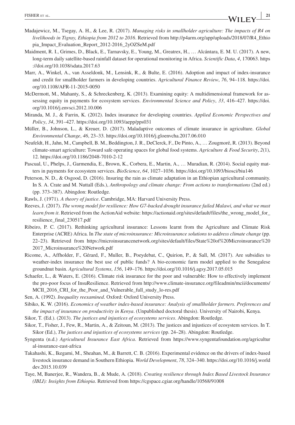- Madajewicz, M., Tsegay, A. H., & Lee, R. (2017). *Managing risks in smallholder agriculture: The impacts of R4 on livelihoods in Tigray, Ethiopia from 2012 to 2016*. Retrieved from [http://p4arm.org/app/uploads/2018/07/R4\\_Ethio](http://p4arm.org/app/uploads/2018/07/R4_Ethiopia_Impact_Evaluation_Report_2012-2016_2yOZSeM.pdf) [pia\\_Impact\\_Evaluation\\_Report\\_2012-2016\\_2yOZSeM.pdf](http://p4arm.org/app/uploads/2018/07/R4_Ethiopia_Impact_Evaluation_Report_2012-2016_2yOZSeM.pdf)
- Maidment, R. I., Grimes, D., Black, E., Tarnavsky, E., Young, M., Greatrex, H., … Alcántara, E. M. U. (2017). A new, long‐term daily satellite‐based rainfall dataset for operational monitoring in Africa. *Scientific Data*, *4*, 170063. [https](https://doi.org/10.1038/sdata.2017.63) [://doi.org/10.1038/sdata.2017.63](https://doi.org/10.1038/sdata.2017.63)
- Marr, A., Winkel, A., van Asseldonk, M., Lensink, R., & Bulte, E. (2016). Adoption and impact of index-insurance and credit for smallholder farmers in developing countries. *Agricultural Finance Review*, *76*, 94–118. [https://doi.](https://doi.org/10.1108/AFR-11-2015-0050) [org/10.1108/AFR-11-2015-0050](https://doi.org/10.1108/AFR-11-2015-0050)
- McDermott, M., Mahanty, S., & Schreckenberg, K. (2013). Examining equity: A multidimensional framework for assessing equity in payments for ecosystem services. *Environmental Science and Policy*, *33*, 416–427. [https://doi.](https://doi.org/10.1016/j.envsci.2012.10.006) [org/10.1016/j.envsci.2012.10.006](https://doi.org/10.1016/j.envsci.2012.10.006)
- Miranda, M. J., & Farrin, K. (2012). Index insurance for developing countries. *Applied Economic Perspectives and Policy*, *34*, 391–427. <https://doi.org/10.1093/aepp/pps031>
- Müller, B., Johnson, L., & Kreuer, D. (2017). Maladaptive outcomes of climate insurance in agriculture. *Global Environmental Change*, *46*, 23–33. <https://doi.org/10.1016/j.gloenvcha.2017.06.010>
- Neufeldt, H., Jahn, M., Campbell, B. M., Beddington, J. R., DeClerck, F., De Pinto, A., … Zougmoré, R. (2013). Beyond climate‐smart agriculture: Toward safe operating spaces for global food systems. *Agriculture & Food Security*, *2*(1), 12.<https://doi.org/10.1186/2048-7010-2-12>
- Pascual, U., Phelps, J., Garmendia, E., Brown, K., Corbera, E., Martin, A., … Muradian, R. (2014). Social equity matters in payments for ecosystem services. *BioScience*, *64*, 1027–1036.<https://doi.org/10.1093/biosci/biu146>
- Peterson, N. D., & Osgood, D. (2016). Insuring the rain as climate adaptation in an Ethiopian agricultural community. In S. A. Crate and M. Nuttall (Eds.), *Anthropology and climate change: From actions to transformations* (2nd ed.) (pp. 373–387). Abingdon: Routledge.
- Rawls, J. (1971). *A theory of justice*. Cambridge, MA: Harvard University Press.
- Reeves, J. (2017). *The wrong model for resilience: How G7‐backed drought insurance failed Malawi, and what we must learn from it*. Retrieved from the ActionAid website: [https://actionaid.org/sites/default/files/the\\_wrong\\_model\\_for\\_](https://actionaid.org/sites/default/files/the_wrong_model_for_resilience_final_230517.pdf) [resilience\\_final\\_230517.pdf](https://actionaid.org/sites/default/files/the_wrong_model_for_resilience_final_230517.pdf)
- Ribeiro, P. C. (2017). Rethinking agricultural insurance: Lessons learnt from the Agriculture and Climate Risk Enterprise (ACRE) Africa. In *The state of microinsurance: Microinsurance solutions to address climate change* (pp. 22–23). Retrieved from [https://microinsurancenetwork.org/sites/default/files/State%20of%20Microinsurance%20](https://microinsurancenetwork.org/sites/default/files/State of Microinsurance 2017_Microinsurance Network.pdf) [2017\\_Microinsurance%20Network.pdf](https://microinsurancenetwork.org/sites/default/files/State of Microinsurance 2017_Microinsurance Network.pdf)
- Ricome, A., Affholder, F., Gérard, F., Muller, B., Poeydebat, C., Quirion, P., & Sall, M. (2017). Are subsidies to weather-index insurance the best use of public funds? A bio-economic farm model applied to the Senegalese groundnut basin. *Agricultural Systems*, *156*, 149–176.<https://doi.org/10.1016/j.agsy.2017.05.015>
- Schaefer, L., & Waters, E. (2016). Climate risk insurance for the poor and vulnerable: How to effectively implement the pro‐poor focus of InsuResilience. Retrieved from [http://www.climate-insurance.org/fileadmin/mcii/documents/](http://www.climate-insurance.org/fileadmin/mcii/documents/MCII_2016_CRI_for_the_Poor_and_Vulnerable_full_study_lo-res.pdf) [MCII\\_2016\\_CRI\\_for\\_the\\_Poor\\_and\\_Vulnerable\\_full\\_study\\_lo-res.pdf](http://www.climate-insurance.org/fileadmin/mcii/documents/MCII_2016_CRI_for_the_Poor_and_Vulnerable_full_study_lo-res.pdf)
- Sen, A. (1992). *Inequality reexamined*. Oxford: Oxford University Press.
- Sibiko, K. W. (2016). *Economics of weather index‐based insurance: Analysis of smallholder farmers. Preferences and the impact of insurance on productivity in Kenya*. (Unpublished doctoral thesis). University of Nairobi, Kenya.
- Sikor, T. (Ed.). (2013). *The justices and injustices of ecosystems services*. Abingdon: Routledge.
- Sikor, T., Fisher, J., Few, R., Martin, A., & Zeitoun, M. (2013). The justices and injustices of ecosystem services. In T. Sikor (Ed.), *The justices and injustices of ecosystems services* (pp. 24–28). Abingdon: Routledge.
- Syngenta (n.d.) *Agricultural Insurance East Africa*. Retrieved from [https://www.syngentafoundation.org/agricultur](https://www.syngentafoundation.org/agricultural-insurance-east-africa) [al-insurance-east-africa](https://www.syngentafoundation.org/agricultural-insurance-east-africa)
- Takahashi, K., Ikegami, M., Sheahan, M., & Barrett, C. B. (2016). Experimental evidence on the drivers of index‐based livestock insurance demand in Southern Ethiopia. *World Development*, *78*, 324–340. [https://doi.org/10.1016/j.world](https://doi.org/10.1016/j.worlddev.2015.10.039) [dev.2015.10.039](https://doi.org/10.1016/j.worlddev.2015.10.039)
- Taye, M, Banerjee, R., Wandera, B., & Mude, A. (2018). *Creating resilience through Index Based Livestock Insurance (IBLI): Insights from Ethiopia*. Retrieved from <https://cgspace.cgiar.org/handle/10568/91008>